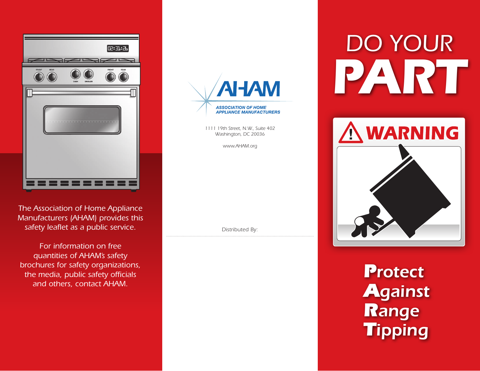

*The Association of Home Appliance Manufacturers (AHAM) provides this safety leaflet as a public service.* 

*For information on free quantities of AHAM's safety brochures for safety organizations, the media, public safety officials and others, contact AHAM.*

**NAHA ASSOCIATION OF HOME APPLIANCE MANUFACTURERS** 

> *1111 19th Street, N.W., Suite 402 Washington, DC 20036*

> > *www.AHAM.org*

*Distributed By:*

## *DO YOUR PART*



*Protect Against Range Tipping*